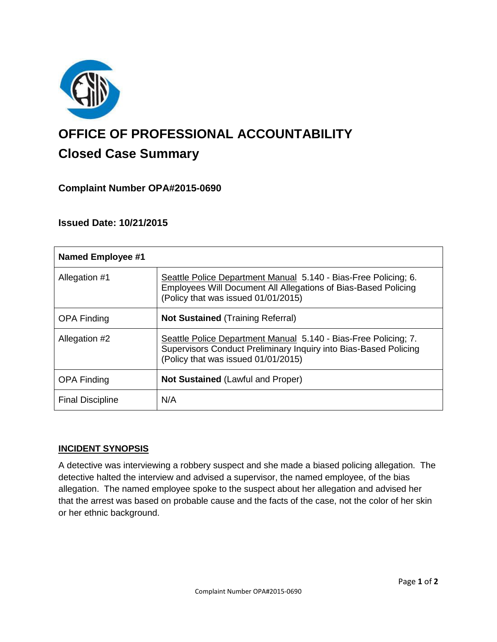

# **OFFICE OF PROFESSIONAL ACCOUNTABILITY Closed Case Summary**

# **Complaint Number OPA#2015-0690**

## **Issued Date: 10/21/2015**

| <b>Named Employee #1</b> |                                                                                                                                                                            |
|--------------------------|----------------------------------------------------------------------------------------------------------------------------------------------------------------------------|
| Allegation #1            | Seattle Police Department Manual 5.140 - Bias-Free Policing; 6.<br>Employees Will Document All Allegations of Bias-Based Policing<br>(Policy that was issued 01/01/2015)   |
| <b>OPA Finding</b>       | <b>Not Sustained (Training Referral)</b>                                                                                                                                   |
| Allegation #2            | Seattle Police Department Manual 5.140 - Bias-Free Policing; 7.<br>Supervisors Conduct Preliminary Inquiry into Bias-Based Policing<br>(Policy that was issued 01/01/2015) |
| <b>OPA Finding</b>       | <b>Not Sustained (Lawful and Proper)</b>                                                                                                                                   |
| <b>Final Discipline</b>  | N/A                                                                                                                                                                        |

#### **INCIDENT SYNOPSIS**

A detective was interviewing a robbery suspect and she made a biased policing allegation. The detective halted the interview and advised a supervisor, the named employee, of the bias allegation. The named employee spoke to the suspect about her allegation and advised her that the arrest was based on probable cause and the facts of the case, not the color of her skin or her ethnic background.